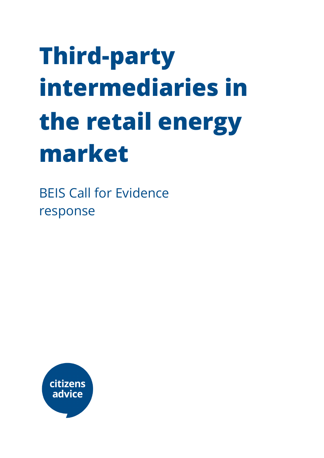# **Third-party intermediaries in the retail energy market**

BEIS Call for Evidence response

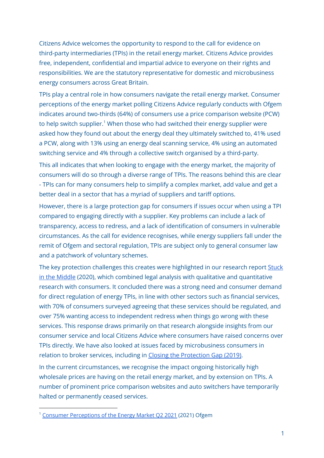Citizens Advice welcomes the opportunity to respond to the call for evidence on third-party intermediaries (TPIs) in the retail energy market. Citizens Advice provides free, independent, confidential and impartial advice to everyone on their rights and responsibilities. We are the statutory representative for domestic and microbusiness energy consumers across Great Britain.

TPIs play a central role in how consumers navigate the retail energy market. Consumer perceptions of the energy market polling Citizens Advice regularly conducts with Ofgem indicates around two-thirds (64%) of consumers use a price comparison website (PCW) to help switch supplier.<sup>1</sup> When those who had switched their energy supplier were asked how they found out about the energy deal they ultimately switched to, 41% used a PCW, along with 13% using an energy deal scanning service, 4% using an automated switching service and 4% through a collective switch organised by a third-party.

This all indicates that when looking to engage with the energy market, the majority of consumers will do so through a diverse range of TPIs. The reasons behind this are clear - TPIs can for many consumers help to simplify a complex market, add value and get a better deal in a sector that has a myriad of suppliers and tariff options.

However, there is a large protection gap for consumers if issues occur when using a TPI compared to engaging directly with a supplier. Key problems can include a lack of transparency, access to redress, and a lack of identification of consumers in vulnerable circumstances. As the call for evidence recognises, while energy suppliers fall under the remit of Ofgem and sectoral regulation, TPIs are subject only to general consumer law and a patchwork of voluntary schemes.

The key protection challenges this creates were highlighted in our research report [Stuck](https://www.citizensadvice.org.uk/about-us/our-work/policy/policy-research-topics/energy-policy-research-and-consultation-responses/energy-policy-research/stuck-in-the-middle/) in the [Middle](https://www.citizensadvice.org.uk/about-us/our-work/policy/policy-research-topics/energy-policy-research-and-consultation-responses/energy-policy-research/stuck-in-the-middle/) (2020), which combined legal analysis with qualitative and quantitative research with consumers. It concluded there was a strong need and consumer demand for direct regulation of energy TPIs, in line with other sectors such as financial services, with 70% of consumers surveyed agreeing that these services should be regulated, and over 75% wanting access to independent redress when things go wrong with these services. This response draws primarily on that research alongside insights from our consumer service and local Citizens Advice where consumers have raised concerns over TPIs directly. We have also looked at issues faced by microbusiness consumers in relation to broker services, including in Closing the [Protection](https://www.citizensadvice.org.uk/about-us/our-work/policy/policy-research-topics/energy-policy-research-and-consultation-responses/energy-policy-research/closing-the-protection-gap/) Gap (2019).

In the current circumstances, we recognise the impact ongoing historically high wholesale prices are having on the retail energy market, and by extension on TPIs. A number of prominent price comparison websites and auto switchers have temporarily halted or permanently ceased services.

<sup>&</sup>lt;sup>1</sup> Consumer [Perceptions](https://www.ofgem.gov.uk/publications/consumer-perceptions-energy-market-q2-2021) of the Energy Market Q2 2021 (2021) Ofgem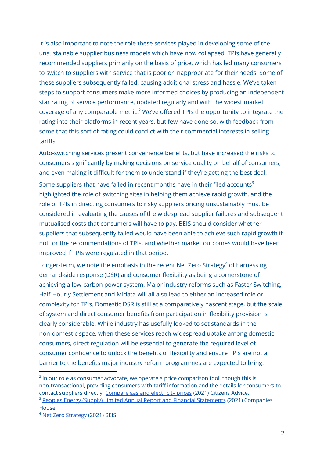It is also important to note the role these services played in developing some of the unsustainable supplier business models which have now collapsed. TPIs have generally recommended suppliers primarily on the basis of price, which has led many consumers to switch to suppliers with service that is poor or inappropriate for their needs. Some of these suppliers subsequently failed, causing additional stress and hassle. We've taken steps to support consumers make more informed choices by producing an independent star rating of service performance, updated regularly and with the widest market coverage of any comparable metric.<sup>2</sup> We've offered TPIs the opportunity to integrate the rating into their platforms in recent years, but few have done so, with feedback from some that this sort of rating could conflict with their commercial interests in selling tariffs.

Auto-switching services present convenience benefits, but have increased the risks to consumers significantly by making decisions on service quality on behalf of consumers, and even making it difficult for them to understand if they're getting the best deal.

Some suppliers that have failed in recent months have in their filed accounts $^3$ highlighted the role of switching sites in helping them achieve rapid growth, and the role of TPIs in directing consumers to risky suppliers pricing unsustainably must be considered in evaluating the causes of the widespread supplier failures and subsequent mutualised costs that consumers will have to pay. BEIS should consider whether suppliers that subsequently failed would have been able to achieve such rapid growth if not for the recommendations of TPIs, and whether market outcomes would have been improved if TPIs were regulated in that period.

Longer-term, we note the emphasis in the recent Net Zero Strategy<sup>4</sup> of harnessing demand-side response (DSR) and consumer flexibility as being a cornerstone of achieving a low-carbon power system. Major industry reforms such as Faster Switching, Half-Hourly Settlement and Midata will all also lead to either an increased role or complexity for TPIs. Domestic DSR is still at a comparatively nascent stage, but the scale of system and direct consumer benefits from participation in flexibility provision is clearly considerable. While industry has usefully looked to set standards in the non-domestic space, when these services reach widespread uptake among domestic consumers, direct regulation will be essential to generate the required level of consumer confidence to unlock the benefits of flexibility and ensure TPIs are not a barrier to the benefits major industry reform programmes are expected to bring.

<sup>&</sup>lt;sup>3</sup> Peoples Energy (Supply) Limited Annual Report and Financial [Statements](https://find-and-update.company-information.service.gov.uk/company/09844617/filing-history) (2021) Companies  $2$  In our role as consumer advocate, we operate a price comparison tool, though this is non-transactional, providing consumers with tariff information and the details for consumers to contact suppliers directly. Compare gas and [electricity](https://www.citizensadvice.org.uk/consumer/energy/energy-supply/get-a-better-energy-deal/compare-gas-and-electricity-prices/) prices (2021) Citizens Advice.

House

<sup>4</sup> Net Zero [Strategy](https://www.gov.uk/government/publications/net-zero-strategy) (2021) BEIS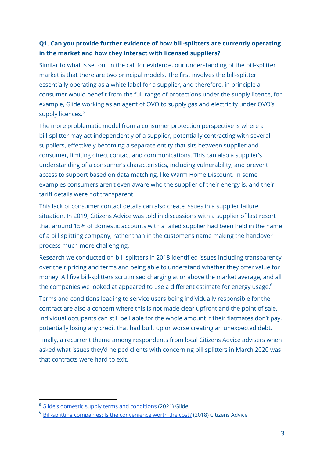#### **Q1. Can you provide further evidence of how bill-splitters are currently operating in the market and how they interact with licensed suppliers?**

Similar to what is set out in the call for evidence, our understanding of the bill-splitter market is that there are two principal models. The first involves the bill-splitter essentially operating as a white-label for a supplier, and therefore, in principle a consumer would benefit from the full range of protections under the supply licence, for example, Glide working as an agent of OVO to supply gas and electricity under OVO's supply licences.<sup>5</sup>

The more problematic model from a consumer protection perspective is where a bill-splitter may act independently of a supplier, potentially contracting with several suppliers, effectively becoming a separate entity that sits between supplier and consumer, limiting direct contact and communications. This can also a supplier's understanding of a consumer's characteristics, including vulnerability, and prevent access to support based on data matching, like Warm Home Discount. In some examples consumers aren't even aware who the supplier of their energy is, and their tariff details were not transparent.

This lack of consumer contact details can also create issues in a supplier failure situation. In 2019, Citizens Advice was told in discussions with a supplier of last resort that around 15% of domestic accounts with a failed supplier had been held in the name of a bill splitting company, rather than in the customer's name making the handover process much more challenging.

Research we conducted on bill-splitters in 2018 identified issues including transparency over their pricing and terms and being able to understand whether they offer value for money. All five bill-splitters scrutinised charging at or above the market average, and all the companies we looked at appeared to use a different estimate for energy usage. $^6$ 

Terms and conditions leading to service users being individually responsible for the contract are also a concern where this is not made clear upfront and the point of sale. Individual occupants can still be liable for the whole amount if their flatmates don't pay, potentially losing any credit that had built up or worse creating an unexpected debt.

Finally, a recurrent theme among respondents from local Citizens Advice advisers when asked what issues they'd helped clients with concerning bill splitters in March 2020 was that contracts were hard to exit.

<sup>&</sup>lt;sup>5</sup> Glide's domestic supply terms and [conditions](https://glide.co.uk/terms/energy-ovo/) (2021) Glide

 $6$  Bill-splitting companies: Is the [convenience](https://wearecitizensadvice.org.uk/bill-splitting-companies-is-the-convenience-worth-the-cost-d4c7679734db) worth the cost? (2018) Citizens Advice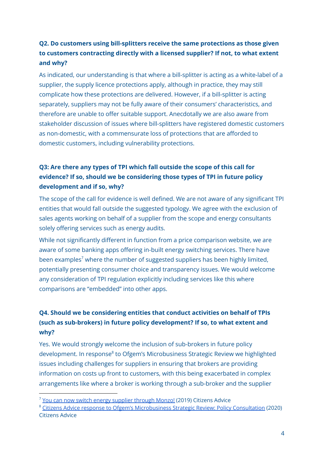#### **Q2. Do customers using bill-splitters receive the same protections as those given to customers contracting directly with a licensed supplier? If not, to what extent and why?**

As indicated, our understanding is that where a bill-splitter is acting as a white-label of a supplier, the supply licence protections apply, although in practice, they may still complicate how these protections are delivered. However, if a bill-splitter is acting separately, suppliers may not be fully aware of their consumers' characteristics, and therefore are unable to offer suitable support. Anecdotally we are also aware from stakeholder discussion of issues where bill-splitters have registered domestic customers as non-domestic, with a commensurate loss of protections that are afforded to domestic customers, including vulnerability protections.

#### **Q3: Are there any types of TPI which fall outside the scope of this call for evidence? If so, should we be considering those types of TPI in future policy development and if so, why?**

The scope of the call for evidence is well defined. We are not aware of any significant TPI entities that would fall outside the suggested typology. We agree with the exclusion of sales agents working on behalf of a supplier from the scope and energy consultants solely offering services such as energy audits.

While not significantly different in function from a price comparison website, we are aware of some banking apps offering in-built energy switching services. There have been examples<sup>7</sup> where the number of suggested suppliers has been highly limited, potentially presenting consumer choice and transparency issues. We would welcome any consideration of TPI regulation explicitly including services like this where comparisons are "embedded" into other apps.

#### **Q4. Should we be considering entities that conduct activities on behalf of TPIs (such as sub-brokers) in future policy development? If so, to what extent and why?**

Yes. We would strongly welcome the inclusion of sub-brokers in future policy development. In response<sup>8</sup> to Ofgem's Microbusiness Strategic Review we highlighted issues including challenges for suppliers in ensuring that brokers are providing information on costs up front to customers, with this being exacerbated in complex arrangements like where a broker is working through a sub-broker and the supplier

 $7$  You can now switch energy [supplier](https://monzo.com/blog/2019/05/08/switch-energy-supplier-through-monzo) through Monzo! (2019) Citizens Advice

<sup>&</sup>lt;sup>8</sup> Citizens Advice response to Ofgem's [Microbusiness](https://www.citizensadvice.org.uk/Global/CitizensAdvice/Energy/Energy%20Consultation%20responses/Citizens%20Advice%20response%20-%20microbusiness%20strategic%20review%202020%20(2).pdf) Strategic Review: Policy Consultation (2020) Citizens Advice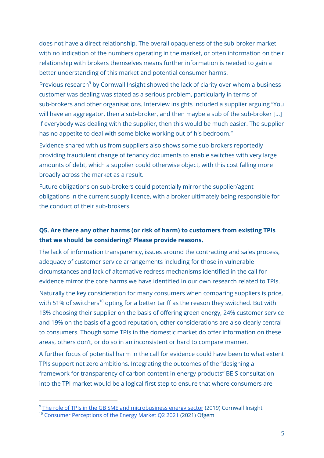does not have a direct relationship. The overall opaqueness of the sub-broker market with no indication of the numbers operating in the market, or often information on their relationship with brokers themselves means further information is needed to gain a better understanding of this market and potential consumer harms.

Previous research<sup>9</sup> by Cornwall Insight showed the lack of clarity over whom a business customer was dealing was stated as a serious problem, particularly in terms of sub-brokers and other organisations. Interview insights included a supplier arguing "You will have an aggregator, then a sub-broker, and then maybe a sub of the sub-broker [...] If everybody was dealing with the supplier, then this would be much easier. The supplier has no appetite to deal with some bloke working out of his bedroom."

Evidence shared with us from suppliers also shows some sub-brokers reportedly providing fraudulent change of tenancy documents to enable switches with very large amounts of debt, which a supplier could otherwise object, with this cost falling more broadly across the market as a result.

Future obligations on sub-brokers could potentially mirror the supplier/agent obligations in the current supply licence, with a broker ultimately being responsible for the conduct of their sub-brokers.

#### **Q5. Are there any other harms (or risk of harm) to customers from existing TPIs that we should be considering? Please provide reasons.**

The lack of information transparency, issues around the contracting and sales process, adequacy of customer service arrangements including for those in vulnerable circumstances and lack of alternative redress mechanisms identified in the call for evidence mirror the core harms we have identified in our own research related to TPIs.

Naturally the key consideration for many consumers when comparing suppliers is price, with 51% of switchers<sup>10</sup> opting for a better tariff as the reason they switched. But with 18% choosing their supplier on the basis of offering green energy, 24% customer service and 19% on the basis of a good reputation, other considerations are also clearly central to consumers. Though some TPIs in the domestic market do offer information on these areas, others don't, or do so in an inconsistent or hard to compare manner.

A further focus of potential harm in the call for evidence could have been to what extent TPIs support net zero ambitions. Integrating the outcomes of the "designing a framework for transparency of carbon content in energy products" BEIS consultation into the TPI market would be a logical first step to ensure that where consumers are

<sup>&</sup>lt;sup>10</sup> Consumer [Perceptions](https://www.ofgem.gov.uk/publications/consumer-perceptions-energy-market-q2-2021) of the Energy Market Q2 2021 (2021) Ofgem <sup>9</sup> The role of TPIs in the GB SME and [microbusiness](https://www.citizensadvice.org.uk/Global/CitizensAdvice/Energy/Cornwall%20Insight%20and%20Citizens%20Advice%20-%20The%20role%20of%20TPIs%20in%20the%20GB%20SME%20and%20microbusiness%20energy%20supply%20sector.pdf) energy sector (2019) Cornwall Insight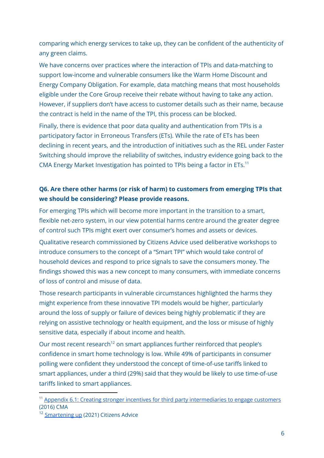comparing which energy services to take up, they can be confident of the authenticity of any green claims.

We have concerns over practices where the interaction of TPIs and data-matching to support low-income and vulnerable consumers like the Warm Home Discount and Energy Company Obligation. For example, data matching means that most households eligible under the Core Group receive their rebate without having to take any action. However, if suppliers don't have access to customer details such as their name, because the contract is held in the name of the TPI, this process can be blocked.

Finally, there is evidence that poor data quality and authentication from TPIs is a participatory factor in Erroneous Transfers (ETs). While the rate of ETs has been declining in recent years, and the introduction of initiatives such as the REL under Faster Switching should improve the reliability of switches, industry evidence going back to the CMA Energy Market Investigation has pointed to TPIs being a factor in ETs.<sup>11</sup>

#### **Q6. Are there other harms (or risk of harm) to customers from emerging TPIs that we should be considering? Please provide reasons.**

For emerging TPIs which will become more important in the transition to a smart, flexible net-zero system, in our view potential harms centre around the greater degree of control such TPIs might exert over consumer's homes and assets or devices.

Qualitative research commissioned by Citizens Advice used deliberative workshops to introduce consumers to the concept of a "Smart TPI" which would take control of household devices and respond to price signals to save the consumers money. The findings showed this was a new concept to many consumers, with immediate concerns of loss of control and misuse of data.

Those research participants in vulnerable circumstances highlighted the harms they might experience from these innovative TPI models would be higher, particularly around the loss of supply or failure of devices being highly problematic if they are relying on assistive technology or health equipment, and the loss or misuse of highly sensitive data, especially if about income and health.

Our most recent research<sup>12</sup> on smart appliances further reinforced that people's confidence in smart home technology is low. While 49% of participants in consumer polling were confident they understood the concept of time-of-use tariffs linked to smart appliances, under a third (29%) said that they would be likely to use time-of-use tariffs linked to smart appliances.

<sup>&</sup>lt;sup>11</sup> Appendix 6.1: Creating stronger incentives for third party [intermediaries](https://assets.publishing.service.gov.uk/media/56ebdfac40f0b60385000004/Appendix_6.1_-_Creating_stronger_incentives_for_third_party_intermediaries_to_engage_customers.pdf) to engage customers (2016) CMA

<sup>&</sup>lt;sup>12</sup> [Smartening](https://www.citizensadvice.org.uk/Global/CitizensAdvice/Energy/Smartening%20up_%20How%20to%20improve%20people%27s%20confidence%20in%20smart%20home%20technology.pdf) up (2021) Citizens Advice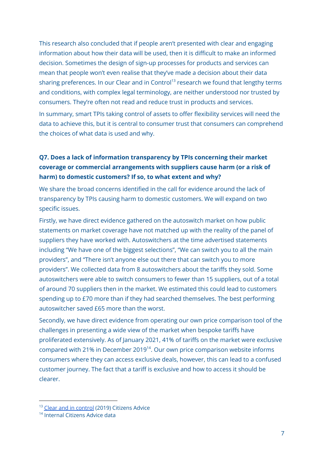This research also concluded that if people aren't presented with clear and engaging information about how their data will be used, then it is difficult to make an informed decision. Sometimes the design of sign-up processes for products and services can mean that people won't even realise that they've made a decision about their data sharing preferences. In our Clear and in Control<sup>13</sup> research we found that lengthy terms and conditions, with complex legal terminology, are neither understood nor trusted by consumers. They're often not read and reduce trust in products and services.

In summary, smart TPIs taking control of assets to offer flexibility services will need the data to achieve this, but it is central to consumer trust that consumers can comprehend the choices of what data is used and why.

#### **Q7. Does a lack of information transparency by TPIs concerning their market coverage or commercial arrangements with suppliers cause harm (or a risk of harm) to domestic customers? If so, to what extent and why?**

We share the broad concerns identified in the call for evidence around the lack of transparency by TPIs causing harm to domestic customers. We will expand on two specific issues.

Firstly, we have direct evidence gathered on the autoswitch market on how public statements on market coverage have not matched up with the reality of the panel of suppliers they have worked with. Autoswitchers at the time advertised statements including "We have one of the biggest selections", "We can switch you to all the main providers", and "There isn't anyone else out there that can switch you to more providers". We collected data from 8 autoswitchers about the tariffs they sold. Some autoswitchers were able to switch consumers to fewer than 15 suppliers, out of a total of around 70 suppliers then in the market. We estimated this could lead to customers spending up to £70 more than if they had searched themselves. The best performing autoswitcher saved £65 more than the worst.

Secondly, we have direct evidence from operating our own price comparison tool of the challenges in presenting a wide view of the market when bespoke tariffs have proliferated extensively. As of January 2021, 41% of tariffs on the market were exclusive compared with 21% in December 2019<sup>14</sup>. Our own price [comparison](https://docs.google.com/document/d/13djrw_FZFFUmQAPdMrJ6Vlfti86ZlBrZ3q4GG5DT9lg/edit) website informs [consumers](https://docs.google.com/document/d/13djrw_FZFFUmQAPdMrJ6Vlfti86ZlBrZ3q4GG5DT9lg/edit) where they can access exclusive deals, however, this can lead to a confused customer journey. The fact that a tariff is exclusive and how to access it should be clearer.

<sup>&</sup>lt;sup>13</sup> Clear and in [control](https://www.citizensadvice.org.uk/about-us/our-work/policy/policy-research-topics/energy-policy-research-and-consultation-responses/energy-policy-research/clear-and-in-control/) (2019) Citizens Advice

<sup>14</sup> Internal Citizens Advice data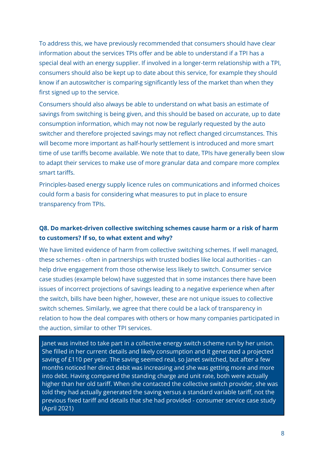To address this, we have previously recommended that consumers should have clear information about the services TPIs offer and be able to understand if a TPI has a special deal with an energy supplier. If involved in a longer-term relationship with a TPI, consumers should also be kept up to date about this service, for example they should know if an autoswitcher is comparing significantly less of the market than when they first signed up to the service.

Consumers should also always be able to understand on what basis an estimate of savings from switching is being given, and this should be based on accurate, up to date consumption information, which may not now be regularly requested by the auto switcher and therefore projected savings may not reflect changed circumstances. This will become more important as half-hourly settlement is introduced and more smart time of use tariffs become available. We note that to date, TPIs have generally been slow to adapt their services to make use of more granular data and compare more complex smart tariffs.

Principles-based energy supply licence rules on communications and informed choices could form a basis for considering what measures to put in place to ensure transparency from TPIs.

#### **Q8. Do market-driven collective switching schemes cause harm or a risk of harm to customers? If so, to what extent and why?**

We have limited evidence of harm from collective switching schemes. If well managed, these schemes - often in partnerships with trusted bodies like local authorities - can help drive engagement from those otherwise less likely to switch. Consumer service case studies (example below) have suggested that in some instances there have been issues of incorrect projections of savings leading to a negative experience when after the switch, bills have been higher, however, these are not unique issues to collective switch schemes. Similarly, we agree that there could be a lack of transparency in relation to how the deal compares with others or how many companies participated in the auction, similar to other TPI services.

Janet was invited to take part in a collective energy switch scheme run by her union. She filled in her current details and likely consumption and it generated a projected saving of £110 per year. The saving seemed real, so Janet switched, but after a few months noticed her direct debit was increasing and she was getting more and more into debt. Having compared the standing charge and unit rate, both were actually higher than her old tariff. When she contacted the collective switch provider, she was told they had actually generated the saving versus a standard variable tariff, not the previous fixed tariff and details that she had provided - consumer service case study (April 2021)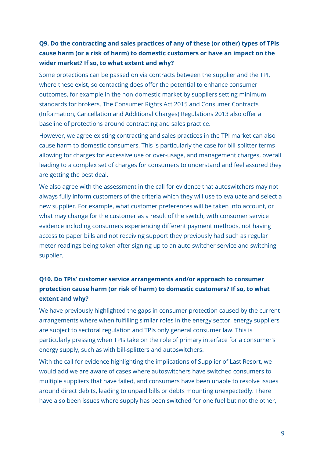#### **Q9. Do the contracting and sales practices of any of these (or other) types of TPIs cause harm (or a risk of harm) to domestic customers or have an impact on the wider market? If so, to what extent and why?**

Some protections can be passed on via contracts between the supplier and the TPI, where these exist, so contacting does offer the potential to enhance consumer outcomes, for example in the non-domestic market by suppliers setting minimum standards for brokers. The Consumer Rights Act 2015 and Consumer Contracts (Information, Cancellation and Additional Charges) Regulations 2013 also offer a baseline of protections around contracting and sales practice.

However, we agree existing contracting and sales practices in the TPI market can also cause harm to domestic consumers. This is particularly the case for bill-splitter terms allowing for charges for excessive use or over-usage, and management charges, overall leading to a complex set of charges for consumers to understand and feel assured they are getting the best deal.

We also agree with the assessment in the call for evidence that autoswitchers may not always fully inform customers of the criteria which they will use to evaluate and select a new supplier. For example, what customer preferences will be taken into account, or what may change for the customer as a result of the switch, with consumer service evidence including consumers experiencing different payment methods, not having access to paper bills and not receiving support they previously had such as regular meter readings being taken after signing up to an auto switcher service and switching supplier.

#### **Q10. Do TPIs' customer service arrangements and/or approach to consumer protection cause harm (or risk of harm) to domestic customers? If so, to what extent and why?**

We have previously highlighted the gaps in consumer protection caused by the current arrangements where when fulfilling similar roles in the energy sector, energy suppliers are subject to sectoral regulation and TPIs only general consumer law. This is particularly pressing when TPIs take on the role of primary interface for a consumer's energy supply, such as with bill-splitters and autoswitchers.

With the call for evidence highlighting the implications of Supplier of Last Resort, we would add we are aware of cases where autoswitchers have switched consumers to multiple suppliers that have failed, and consumers have been unable to resolve issues around direct debits, leading to unpaid bills or debts mounting unexpectedly. There have also been issues where supply has been switched for one fuel but not the other,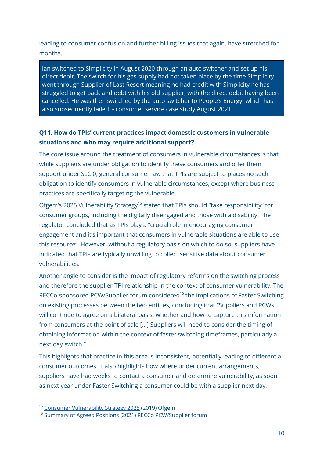leading to consumer confusion and further billing issues that again, have stretched for months.

Ian switched to Simplicity in August 2020 through an auto switcher and set up his direct debit. The switch for his gas supply had not taken place by the time Simplicity went through Supplier of Last Resort meaning he had credit with Simplicity he has struggled to get back and debt with his old supplier, with the direct debit having been cancelled. He was then switched by the auto switcher to People's Energy, which has also subsequently failed. - consumer service case study August 2021

#### **Q11. How do TPIs' current practices impact domestic customers in vulnerable situations and who may require additional support?**

The core issue around the treatment of consumers in vulnerable circumstances is that while suppliers are under obligation to identify these consumers and offer them support under SLC 0, general consumer law that TPIs are subject to places no such obligation to identify consumers in vulnerable circumstances, except where business practices are specifically targeting the vulnerable.

Ofgem's 2025 Vulnerability Strategy<sup>15</sup> stated that TPIs should "take responsibility" for consumer groups, including the digitally disengaged and those with a disability. The regulator concluded that as TPIs play a "crucial role in encouraging consumer engagement and it's important that consumers in vulnerable situations are able to use this resource". However, without a regulatory basis on which to do so, suppliers have indicated that TPIs are typically unwilling to collect sensitive data about consumer vulnerabilities.

Another angle to consider is the impact of regulatory reforms on the switching process and therefore the supplier-TPI relationship in the context of consumer vulnerability. The RECCo-sponsored PCW/Supplier forum considered<sup>16</sup> the implications of Faster Switching on existing processes between the two entities, concluding that "Suppliers and PCWs will continue to agree on a bilateral basis, whether and how to capture this information from consumers at the point of sale [...] Suppliers will need to consider the timing of obtaining information within the context of faster switching timeframes, particularly a next day switch."

This highlights that practice in this area is inconsistent, potentially leading to differential consumer outcomes. It also highlights how where under current arrangements, suppliers have had weeks to contact a consumer and determine vulnerability, as soon as next year under Faster Switching a consumer could be with a supplier next day,

<sup>&</sup>lt;sup>15</sup> Consumer [Vulnerability](https://www.ofgem.gov.uk/publications/consumer-vulnerability-strategy-2025) Strategy 2025 (2019) Ofgem

<sup>&</sup>lt;sup>16</sup> Summary of Agreed Positions (2021) RECCo PCW/Supplier forum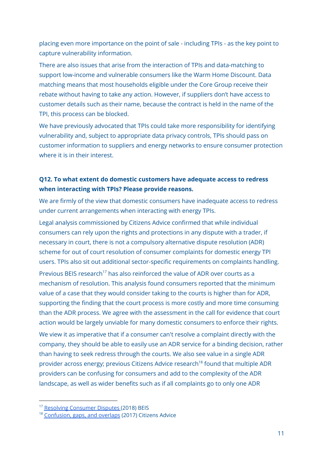placing even more importance on the point of sale - including TPIs - as the key point to capture vulnerability information.

There are also issues that arise from the interaction of TPIs and data-matching to support low-income and vulnerable consumers like the Warm Home Discount. Data matching means that most households eligible under the Core Group receive their rebate without having to take any action. However, if suppliers don't have access to customer details such as their name, because the contract is held in the name of the TPI, this process can be blocked.

We have previously advocated that TPIs could take more responsibility for identifying vulnerability and, subject to appropriate data privacy controls, TPIs should pass on customer information to suppliers and energy networks to ensure consumer protection where it is in their interest.

#### **Q12. To what extent do domestic customers have adequate access to redress when interacting with TPIs? Please provide reasons.**

We are firmly of the view that domestic consumers have inadequate access to redress under current arrangements when interacting with energy TPIs.

Legal analysis commissioned by Citizens Advice confirmed that while individual consumers can rely upon the rights and protections in any dispute with a trader, if necessary in court, there is not a compulsory alternative dispute resolution (ADR) scheme for out of court resolution of consumer complaints for domestic energy TPI users. TPIs also sit out additional sector-specific requirements on complaints handling.

Previous BEIS research<sup>17</sup> has also reinforced the value of ADR over courts as a mechanism of resolution. This analysis found consumers reported that the minimum value of a case that they would consider taking to the courts is higher than for ADR, supporting the finding that the court process is more costly and more time consuming than the ADR process. We agree with the assessment in the call for evidence that court action would be largely unviable for many domestic consumers to enforce their rights.

We view it as imperative that if a consumer can't resolve a complaint directly with the company, they should be able to easily use an ADR service for a binding decision, rather than having to seek redress through the courts. We also see value in a single ADR provider across energy; previous Citizens Advice research 18 found that multiple ADR providers can be confusing for consumers and add to the complexity of the ADR landscape, as well as wider benefits such as if all complaints go to only one ADR

<sup>&</sup>lt;sup>17</sup> Resolving [Consumer](https://assets.publishing.service.gov.uk/government/uploads/system/uploads/attachment_data/file/698442/Final_report_-_Resolving_consumer_disputes.pdf) Disputes (2018) BEIS

<sup>18</sup> [Confusion,](https://www.citizensadvice.org.uk/Global/CitizensAdvice/Consumer%20publications/Gaps%20overlaps%20consumer%20confusion%20201704.pdf) gaps, and overlaps (2017) Citizens Advice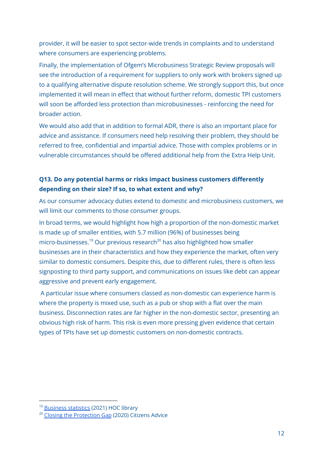provider, it will be easier to spot sector-wide trends in complaints and to understand where consumers are experiencing problems.

Finally, the implementation of Ofgem's Microbusiness Strategic Review proposals will see the introduction of a requirement for suppliers to only work with brokers signed up to a qualifying alternative dispute resolution scheme. We strongly support this, but once implemented it will mean in effect that without further reform, domestic TPI customers will soon be afforded less protection than microbusinesses - reinforcing the need for broader action.

We would also add that in addition to formal ADR, there is also an important place for advice and assistance. If consumers need help resolving their problem, they should be referred to free, confidential and impartial advice. Those with complex problems or in vulnerable circumstances should be offered additional help from the Extra Help Unit.

#### **Q13. Do any potential harms or risks impact business customers differently depending on their size? If so, to what extent and why?**

As our consumer advocacy duties extend to domestic and microbusiness customers, we will limit our comments to those consumer groups.

In broad terms, we would highlight how high a proportion of the non-domestic market is made up of smaller entities, with 5.7 million (96%) of businesses being micro-businesses. <sup>19</sup> Our previous research <sup>20</sup> has also highlighted how smaller businesses are in their characteristics and how they experience the market, often very similar to domestic consumers. Despite this, due to different rules, there is often less signposting to third party support, and communications on issues like debt can appear aggressive and prevent early engagement.

A particular issue where consumers classed as non-domestic can experience harm is where the property is mixed use, such as a pub or shop with a flat over the main business. Disconnection rates are far higher in the non-domestic sector, presenting an obvious high risk of harm. This risk is even more pressing given evidence that certain types of TPIs have set up domestic customers on non-domestic contracts.

<sup>&</sup>lt;sup>19</sup> [Business](https://commonslibrary.parliament.uk/research-briefings/sn06152/#fullreport) statistics (2021) HOC library

<sup>&</sup>lt;sup>20</sup> Closing the [Protection](https://www.citizensadvice.org.uk/Global/CitizensAdvice/Energy/Citizens%20Advice%20-%20Closing%20the%20protection%20gap(2).pdf) Gap (2020) Citizens Advice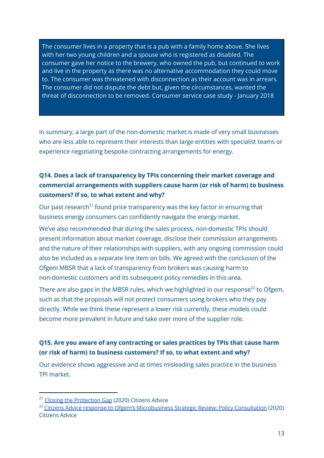The consumer lives in a property that is a pub with a family home above. She lives with her two young children and a spouse who is registered as disabled. The consumer gave her notice to the brewery, who owned the pub, but continued to work and live in the property as there was no alternative accommodation they could move to. The consumer was threatened with disconnection as their account was in arrears. The consumer did not dispute the debt but, given the circumstances, wanted the threat of disconnection to be removed. Consumer service case study - January 2018

In summary, a large part of the non-domestic market is made of very small businesses who are less able to represent their interests than large entities with specialist teams or experience negotiating bespoke contracting arrangements for energy.

#### **Q14. Does a lack of transparency by TPIs concerning their market coverage and commercial arrangements with suppliers cause harm (or risk of harm) to business customers? If so, to what extent and why?**

Our past research<sup>21</sup> found price transparency was the key factor in ensuring that business energy consumers can confidently navigate the energy market.

We've also recommended that during the sales process, non-domestic TPIs should present information about market coverage, disclose their commission arrangements and the nature of their relationships with suppliers, with any ongoing commission could also be included as a separate line item on bills. We agreed with the conclusion of the Ofgem MBSR that a lack of transparency from brokers was causing harm to non-domestic customers and its subsequent policy remedies in this area.

There are also gaps in the MBSR rules, which we highlighted in our response $^{22}$  to Ofgem, such as that the proposals will not protect consumers using brokers who they pay directly. While we think these represent a lower risk currently, these models could become more prevalent in future and take over more of the supplier role.

#### **Q15. Are you aware of any contracting or sales practices by TPIs that cause harm (or risk of harm) to business customers? If so, to what extent and why?**

Our evidence shows aggressive and at times misleading sales practice in the business TPI market.

<sup>&</sup>lt;sup>21</sup> Closing the [Protection](https://www.citizensadvice.org.uk/Global/CitizensAdvice/Energy/Citizens%20Advice%20-%20Closing%20the%20protection%20gap(2).pdf) Gap (2020) Citizens Advice

<sup>&</sup>lt;sup>22</sup> Citizens Advice response to Ofgem's [Microbusiness](https://www.citizensadvice.org.uk/Global/CitizensAdvice/Energy/Energy%20Consultation%20responses/Citizens%20Advice%20response%20-%20microbusiness%20strategic%20review%202020%20(2).pdf) Strategic Review: Policy Consultation (2020) Citizens Advice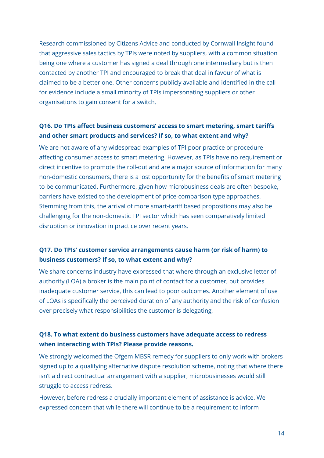Research commissioned by Citizens Advice and conducted by Cornwall Insight found that aggressive sales tactics by TPIs were noted by suppliers, with a common situation being one where a customer has signed a deal through one intermediary but is then contacted by another TPI and encouraged to break that deal in favour of what is claimed to be a better one. Other concerns publicly available and identified in the call for evidence include a small minority of TPIs impersonating suppliers or other organisations to gain consent for a switch.

#### **Q16. Do TPIs affect business customers' access to smart metering, smart tariffs and other smart products and services? If so, to what extent and why?**

We are not aware of any widespread examples of TPI poor practice or procedure affecting consumer access to smart metering. However, as TPIs have no requirement or direct incentive to promote the roll-out and are a major source of information for many non-domestic consumers, there is a lost opportunity for the benefits of smart metering to be communicated. Furthermore, given how microbusiness deals are often bespoke, barriers have existed to the development of price-comparison type approaches. Stemming from this, the arrival of more smart-tariff based propositions may also be challenging for the non-domestic TPI sector which has seen comparatively limited disruption or innovation in practice over recent years.

#### **Q17. Do TPIs' customer service arrangements cause harm (or risk of harm) to business customers? If so, to what extent and why?**

We share concerns industry have expressed that where through an exclusive letter of authority (LOA) a broker is the main point of contact for a customer, but provides inadequate customer service, this can lead to poor outcomes. Another element of use of LOAs is specifically the perceived duration of any authority and the risk of confusion over precisely what responsibilities the customer is delegating,

#### **Q18. To what extent do business customers have adequate access to redress when interacting with TPIs? Please provide reasons.**

We strongly welcomed the Ofgem MBSR remedy for suppliers to only work with brokers signed up to a qualifying alternative dispute resolution scheme, noting that where there isn't a direct contractual arrangement with a supplier, microbusinesses would still struggle to access redress.

However, before redress a crucially important element of assistance is advice. We expressed concern that while there will continue to be a requirement to inform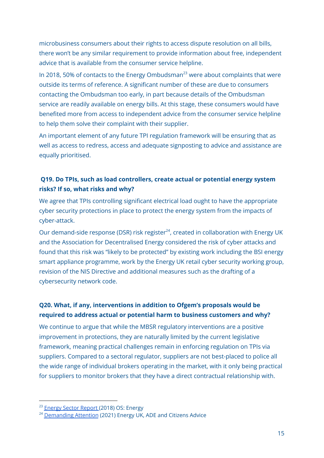microbusiness consumers about their rights to access dispute resolution on all bills, there won't be any similar requirement to provide information about free, independent advice that is available from the consumer service helpline.

In 2018, 50% of contacts to the Energy Ombudsman $^{23}$  were about complaints that were outside its terms of reference. A significant number of these are due to consumers contacting the Ombudsman too early, in part because details of the Ombudsman service are readily available on energy bills. At this stage, these consumers would have benefited more from access to independent advice from the consumer service helpline to help them solve their complaint with their supplier.

An important element of any future TPI regulation framework will be ensuring that as well as access to redress, access and adequate signposting to advice and assistance are equally prioritised.

#### **Q19. Do TPIs, such as load controllers, create actual or potential energy system risks? If so, what risks and why?**

We agree that TPIs controlling significant electrical load ought to have the appropriate cyber security protections in place to protect the energy system from the impacts of cyber-attack.

Our demand-side response (DSR) risk register<sup>24</sup>, created in collaboration with Energy UK and the Association for Decentralised Energy considered the risk of cyber attacks and found that this risk was "likely to be protected" by existing work including the BSI energy smart appliance programme, work by the Energy UK retail cyber security working group, revision of the NIS Directive and additional measures such as the drafting of a cybersecurity network code.

#### **Q20. What, if any, interventions in addition to Ofgem's proposals would be required to address actual or potential harm to business customers and why?**

We continue to argue that while the MBSR regulatory interventions are a positive improvement in protections, they are naturally limited by the current legislative framework, meaning practical challenges remain in enforcing regulation on TPIs via suppliers. Compared to a sectoral regulator, suppliers are not best-placed to police all the wide range of individual brokers operating in the market, with it only being practical for suppliers to monitor brokers that they have a direct contractual relationship with.

<sup>&</sup>lt;sup>23</sup> [Energy](https://assets.ctfassets.net/46t2drav2f3e/7rZEss3IsiSOAPQf0zxhBi/36055263e2465a182bfc9fbbac0f952c/1170_Energy_Sector_Report_v3.pdf) Sector Report (2018) OS: Energy

<sup>&</sup>lt;sup>24</sup> [Demanding](https://www.citizensadvice.org.uk/Global/CitizensAdvice/Energy/Demanding%20attention%20-%20Managing%20risks%20with%20demand-side%20response,%20to%20improve%20consumer%20experience%20tomorrow.pdf) Attention (2021) Energy UK, ADE and Citizens Advice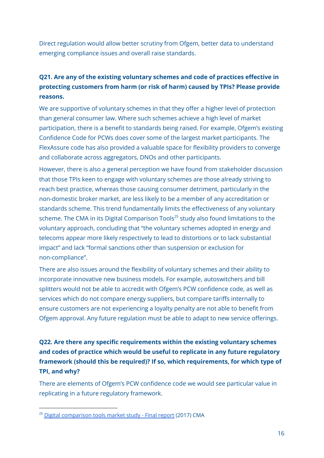Direct regulation would allow better scrutiny from Ofgem, better data to understand emerging compliance issues and overall raise standards.

#### **Q21. Are any of the existing voluntary schemes and code of practices effective in protecting customers from harm (or risk of harm) caused by TPIs? Please provide reasons.**

We are supportive of voluntary schemes in that they offer a higher level of protection than general consumer law. Where such schemes achieve a high level of market participation, there is a benefit to standards being raised. For example, Ofgem's existing Confidence Code for PCWs does cover some of the largest market participants. The FlexAssure code has also provided a valuable space for flexibility providers to converge and collaborate across aggregators, DNOs and other participants.

However, there is also a general perception we have found from stakeholder discussion that those TPIs keen to engage with voluntary schemes are those already striving to reach best practice, whereas those causing consumer detriment, particularly in the non-domestic broker market, are less likely to be a member of any accreditation or standards scheme. This trend fundamentally limits the effectiveness of any voluntary scheme. The CMA in its Digital Comparison Tools <sup>25</sup> study also found limitations to the voluntary approach, concluding that "the voluntary schemes adopted in energy and telecoms appear more likely respectively to lead to distortions or to lack substantial impact" and lack "formal sanctions other than suspension or exclusion for non-compliance".

There are also issues around the flexibility of voluntary schemes and their ability to incorporate innovative new business models. For example, autoswitchers and bill splitters would not be able to accredit with Ofgem's PCW confidence code, as well as services which do not compare energy suppliers, but compare tariffs internally to ensure customers are not experiencing a loyalty penalty are not able to benefit from Ofgem approval. Any future regulation must be able to adapt to new service offerings.

#### **Q22. Are there any specific requirements within the existing voluntary schemes and codes of practice which would be useful to replicate in any future regulatory framework (should this be required)? If so, which requirements, for which type of TPI, and why?**

There are elements of Ofgem's PCW confidence code we would see particular value in replicating in a future regulatory framework.

<sup>&</sup>lt;sup>25</sup> Digital [comparison](https://www.gov.uk/cma-cases/digital-comparison-tools-market-study) tools market study - Final report (2017) CMA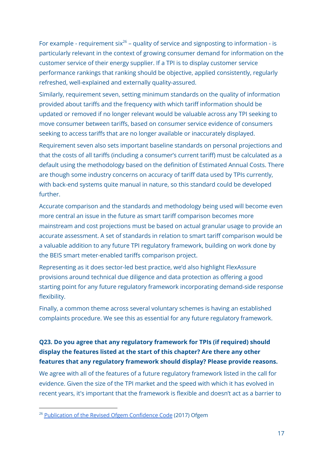For example - requirement six<sup>26</sup> – quality of service and signposting to information - is particularly relevant in the context of growing consumer demand for information on the customer service of their energy supplier. If a TPI is to display customer service performance rankings that ranking should be objective, applied consistently, regularly refreshed, well-explained and externally quality-assured.

Similarly, requirement seven, setting minimum standards on the quality of information provided about tariffs and the frequency with which tariff information should be updated or removed if no longer relevant would be valuable across any TPI seeking to move consumer between tariffs, based on consumer service evidence of consumers seeking to access tariffs that are no longer available or inaccurately displayed.

Requirement seven also sets important baseline standards on personal projections and that the costs of all tariffs (including a consumer's current tariff) must be calculated as a default using the methodology based on the definition of Estimated Annual Costs. There are though some industry concerns on accuracy of tariff data used by TPIs currently, with back-end systems quite manual in nature, so this standard could be developed further.

Accurate comparison and the standards and methodology being used will become even more central an issue in the future as smart tariff comparison becomes more mainstream and cost projections must be based on actual granular usage to provide an accurate assessment. A set of standards in relation to smart tariff comparison would be a valuable addition to any future TPI regulatory framework, building on work done by the BEIS smart meter-enabled tariffs comparison project.

Representing as it does sector-led best practice, we'd also highlight FlexAssure provisions around technical due diligence and data protection as offering a good starting point for any future regulatory framework incorporating demand-side response flexibility.

Finally, a common theme across several voluntary schemes is having an established complaints procedure. We see this as essential for any future regulatory framework.

#### **Q23. Do you agree that any regulatory framework for TPIs (if required) should display the features listed at the start of this chapter? Are there any other features that any regulatory framework should display? Please provide reasons.**

We agree with all of the features of a future regulatory framework listed in the call for evidence. Given the size of the TPI market and the speed with which it has evolved in recent years, it's important that the framework is flexible and doesn't act as a barrier to

<sup>&</sup>lt;sup>26</sup> Publication of the Revised Ofgem [Confidence](https://www.ofgem.gov.uk/publications/publication-revised-ofgem-confidence-code-2017) Code (2017) Ofgem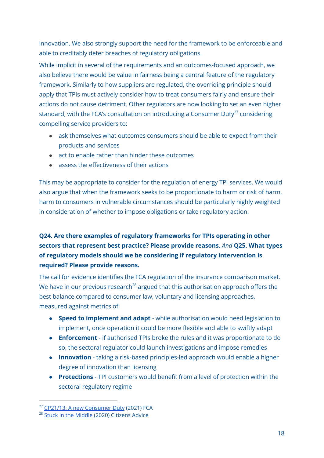innovation. We also strongly support the need for the framework to be enforceable and able to creditably deter breaches of regulatory obligations.

While implicit in several of the requirements and an outcomes-focused approach, we also believe there would be value in fairness being a central feature of the regulatory framework. Similarly to how suppliers are regulated, the overriding principle should apply that TPIs must actively consider how to treat consumers fairly and ensure their actions do not cause detriment. Other regulators are now looking to set an even higher standard, with the FCA's consultation on introducing a Consumer Duty $^{27}$  considering compelling service providers to:

- ask themselves what outcomes consumers should be able to expect from their products and services
- act to enable rather than hinder these outcomes
- assess the effectiveness of their actions

This may be appropriate to consider for the regulation of energy TPI services. We would also argue that when the framework seeks to be proportionate to harm or risk of harm, harm to consumers in vulnerable circumstances should be particularly highly weighted in consideration of whether to impose obligations or take regulatory action.

#### **Q24. Are there examples of regulatory frameworks for TPIs operating in other sectors that represent best practice? Please provide reasons.** *And* **Q25. What types of regulatory models should we be considering if regulatory intervention is required? Please provide reasons.**

The call for evidence identifies the FCA regulation of the insurance comparison market. We have in our previous research $^{28}$  argued that this authorisation approach offers the best balance compared to consumer law, voluntary and licensing approaches, measured against metrics of:

- **Speed to implement and adapt** while authorisation would need legislation to implement, once operation it could be more flexible and able to swiftly adapt
- **Enforcement** if authorised TPIs broke the rules and it was proportionate to do so, the sectoral regulator could launch investigations and impose remedies
- **Innovation** taking a risk-based principles-led approach would enable a higher degree of innovation than licensing
- **Protections** TPI customers would benefit from a level of protection within the sectoral regulatory regime

<sup>&</sup>lt;sup>27</sup> CP21/13: A new [Consumer](https://www.fca.org.uk/publications/consultation-papers/cp21-13-new-consumer-duty#revisions) Duty (2021) FCA

<sup>&</sup>lt;sup>28</sup> Stuck in the [Middle](https://www.citizensadvice.org.uk/Global/CitizensAdvice/Energy/TPIs%20report%20-%20FINAL%20(1).pdf) (2020) Citizens Advice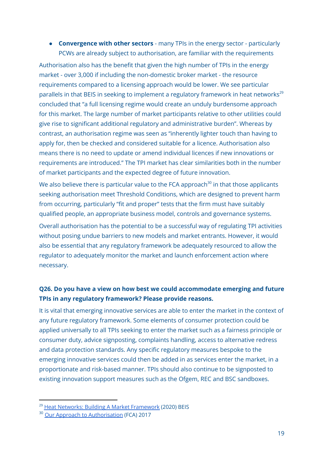● **Convergence with other sectors** - many TPIs in the energy sector - particularly PCWs are already subject to authorisation, are familiar with the requirements

Authorisation also has the benefit that given the high number of TPIs in the energy market - over 3,000 if including the non-domestic broker market - the resource requirements compared to a licensing approach would be lower. We see particular parallels in that BEIS in seeking to implement a regulatory framework in heat networks<sup>29</sup> concluded that "a full licensing regime would create an unduly burdensome approach for this market. The large number of market participants relative to other utilities could give rise to significant additional regulatory and administrative burden". Whereas by contrast, an authorisation regime was seen as "inherently lighter touch than having to apply for, then be checked and considered suitable for a licence. Authorisation also means there is no need to update or amend individual licences if new innovations or requirements are introduced." The TPI market has clear similarities both in the number of market participants and the expected degree of future innovation.

We also believe there is particular value to the FCA approach $^{\rm 30}$  in that those applicants seeking authorisation meet Threshold Conditions, which are designed to prevent harm from occurring, particularly "fit and proper" tests that the firm must have suitably qualified people, an appropriate business model, controls and governance systems.

Overall authorisation has the potential to be a successful way of regulating TPI activities without posing undue barriers to new models and market entrants. However, it would also be essential that any regulatory framework be adequately resourced to allow the regulator to adequately monitor the market and launch enforcement action where necessary.

#### **Q26. Do you have a view on how best we could accommodate emerging and future TPIs in any regulatory framework? Please provide reasons.**

It is vital that emerging innovative services are able to enter the market in the context of any future regulatory framework. Some elements of consumer protection could be applied universally to all TPIs seeking to enter the market such as a fairness principle or consumer duty, advice signposting, complaints handling, access to alternative redress and data protection standards. Any specific regulatory measures bespoke to the emerging innovative services could then be added in as services enter the market, in a proportionate and risk-based manner. TPIs should also continue to be signposted to existing innovation support measures such as the Ofgem, REC and BSC sandboxes.

<sup>&</sup>lt;sup>29</sup> Heat Networks: Building A Market [Framework](https://assets.publishing.service.gov.uk/government/uploads/system/uploads/attachment_data/file/878072/heat-networks-building-market-framework-condoc.pdf) (2020) BEIS

<sup>&</sup>lt;sup>30</sup> Our Approach to [Authorisation](https://www.fca.org.uk/publication/corporate/our-approach-authorisation.pdf) (FCA) 2017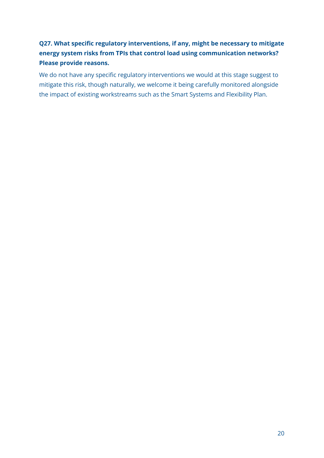#### **Q27. What specific regulatory interventions, if any, might be necessary to mitigate energy system risks from TPIs that control load using communication networks? Please provide reasons.**

We do not have any specific regulatory interventions we would at this stage suggest to mitigate this risk, though naturally, we welcome it being carefully monitored alongside the impact of existing workstreams such as the Smart Systems and Flexibility Plan.